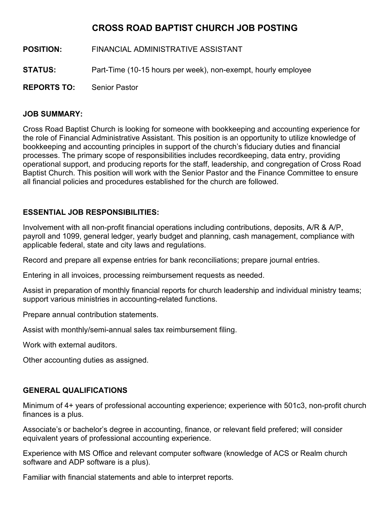## **CROSS ROAD BAPTIST CHURCH JOB POSTING**

- **POSITION:** FINANCIAL ADMINISTRATIVE ASSISTANT
- **STATUS:** Part-Time (10-15 hours per week), non-exempt, hourly employee
- **REPORTS TO:** Senior Pastor

## **JOB SUMMARY:**

Cross Road Baptist Church is looking for someone with bookkeeping and accounting experience for the role of Financial Administrative Assistant. This position is an opportunity to utilize knowledge of bookkeeping and accounting principles in support of the church's fiduciary duties and financial processes. The primary scope of responsibilities includes recordkeeping, data entry, providing operational support, and producing reports for the staff, leadership, and congregation of Cross Road Baptist Church. This position will work with the Senior Pastor and the Finance Committee to ensure all financial policies and procedures established for the church are followed.

## **ESSENTIAL JOB RESPONSIBILITIES:**

Involvement with all non-profit financial operations including contributions, deposits, A/R & A/P, payroll and 1099, general ledger, yearly budget and planning, cash management, compliance with applicable federal, state and city laws and regulations.

Record and prepare all expense entries for bank reconciliations; prepare journal entries.

Entering in all invoices, processing reimbursement requests as needed.

Assist in preparation of monthly financial reports for church leadership and individual ministry teams; support various ministries in accounting-related functions.

Prepare annual contribution statements.

Assist with monthly/semi-annual sales tax reimbursement filing.

Work with external auditors.

Other accounting duties as assigned.

## **GENERAL QUALIFICATIONS**

Minimum of 4+ years of professional accounting experience; experience with 501c3, non-profit church finances is a plus.

Associate's or bachelor's degree in accounting, finance, or relevant field prefered; will consider equivalent years of professional accounting experience.

Experience with MS Office and relevant computer software (knowledge of ACS or Realm church software and ADP software is a plus).

Familiar with financial statements and able to interpret reports.